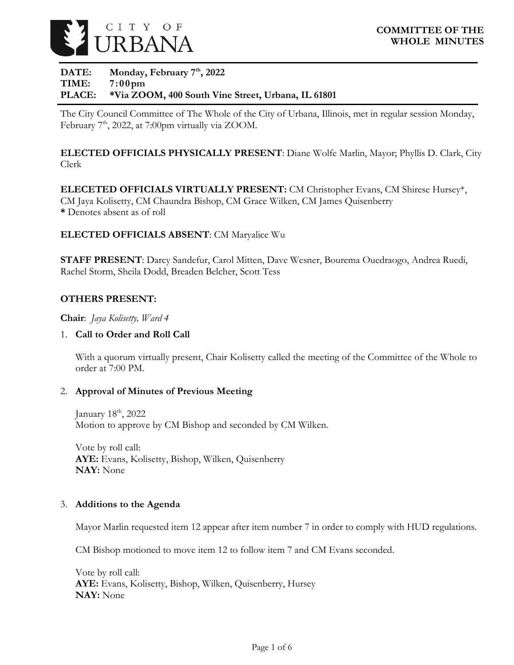

### DATE: Monday, February 7<sup>th</sup>, 2022 **TIME: 7:00pm PLACE: \*Via ZOOM, 400 South Vine Street, Urbana, IL 61801**

The City Council Committee of The Whole of the City of Urbana, Illinois, met in regular session Monday, February  $7<sup>th</sup>$ , 2022, at 7:00pm virtually via ZOOM.

**ELECTED OFFICIALS PHYSICALLY PRESENT**: Diane Wolfe Marlin, Mayor; Phyllis D. Clark, City Clerk

**ELECETED OFFICIALS VIRTUALLY PRESENT:** CM Christopher Evans, CM Shirese Hursey\*, CM Jaya Kolisetty, CM Chaundra Bishop, CM Grace Wilken, CM James Quisenberry **\*** Denotes absent as of roll

#### **ELECTED OFFICIALS ABSENT**: CM Maryalice Wu

**STAFF PRESENT**: Darcy Sandefur, Carol Mitten, Dave Wesner, Bourema Ouedraogo, Andrea Ruedi, Rachel Storm, Sheila Dodd, Breaden Belcher, Scott Tess

#### **OTHERS PRESENT:**

**Chair**: *Jaya Kolisetty, Ward 4*

#### 1. **Call to Order and Roll Call**

With a quorum virtually present, Chair Kolisetty called the meeting of the Committee of the Whole to order at 7:00 PM.

#### 2. **Approval of Minutes of Previous Meeting**

January  $18<sup>th</sup>$ ,  $2022$ Motion to approve by CM Bishop and seconded by CM Wilken.

Vote by roll call: **AYE:** Evans, Kolisetty, Bishop, Wilken, Quisenberry **NAY:** None

#### 3. **Additions to the Agenda**

Mayor Marlin requested item 12 appear after item number 7 in order to comply with HUD regulations.

CM Bishop motioned to move item 12 to follow item 7 and CM Evans seconded.

Vote by roll call: **AYE:** Evans, Kolisetty, Bishop, Wilken, Quisenberry, Hursey **NAY:** None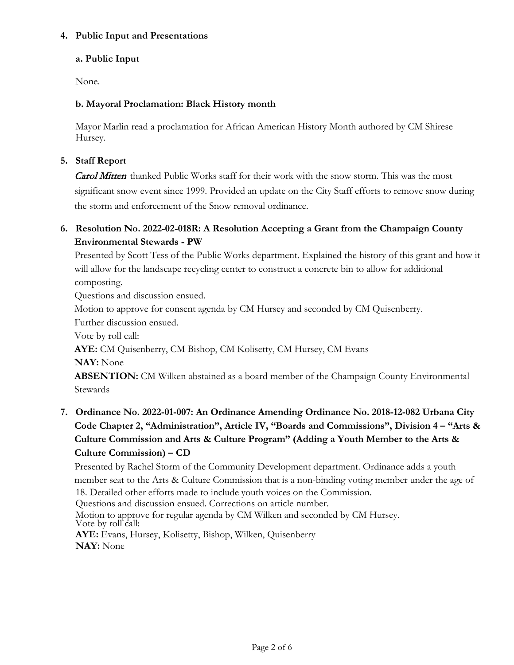#### **4. Public Input and Presentations**

## **a. Public Input**

None.

# **b. Mayoral Proclamation: Black History month**

Mayor Marlin read a proclamation for African American History Month authored by CM Shirese Hursey.

# **5. Staff Report**

Carol Mitten thanked Public Works staff for their work with the snow storm. This was the most significant snow event since 1999. Provided an update on the City Staff efforts to remove snow during the storm and enforcement of the Snow removal ordinance.

# **6. Resolution No. 2022-02-018R: A Resolution Accepting a Grant from the Champaign County Environmental Stewards - PW**

Presented by Scott Tess of the Public Works department. Explained the history of this grant and how it will allow for the landscape recycling center to construct a concrete bin to allow for additional composting.

Questions and discussion ensued.

Motion to approve for consent agenda by CM Hursey and seconded by CM Quisenberry.

Further discussion ensued.

Vote by roll call:

**AYE:** CM Quisenberry, CM Bishop, CM Kolisetty, CM Hursey, CM Evans

**NAY:** None

**ABSENTION:** CM Wilken abstained as a board member of the Champaign County Environmental Stewards

**7. Ordinance No. 2022-01-007: An Ordinance Amending Ordinance No. 2018-12-082 Urbana City Code Chapter 2, "Administration", Article IV, "Boards and Commissions", Division 4 – "Arts & Culture Commission and Arts & Culture Program" (Adding a Youth Member to the Arts & Culture Commission) – CD**

Presented by Rachel Storm of the Community Development department. Ordinance adds a youth member seat to the Arts & Culture Commission that is a non-binding voting member under the age of 18. Detailed other efforts made to include youth voices on the Commission.

Questions and discussion ensued. Corrections on article number.

Motion to approve for regular agenda by CM Wilken and seconded by CM Hursey. Vote by roll call: **AYE:** Evans, Hursey, Kolisetty, Bishop, Wilken, Quisenberry **NAY:** None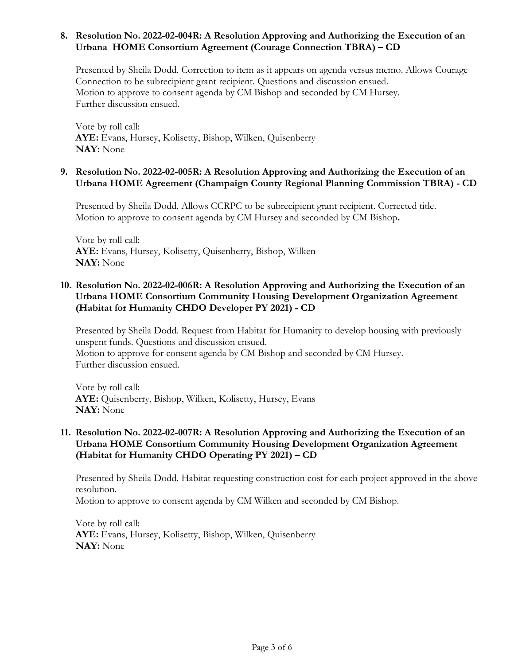#### **8. Resolution No. 2022-02-004R: A Resolution Approving and Authorizing the Execution of an Urbana HOME Consortium Agreement (Courage Connection TBRA) – CD**

Presented by Sheila Dodd. Correction to item as it appears on agenda versus memo. Allows Courage Connection to be subrecipient grant recipient. Questions and discussion ensued. Motion to approve to consent agenda by CM Bishop and seconded by CM Hursey. Further discussion ensued.

Vote by roll call: **AYE:** Evans, Hursey, Kolisetty, Bishop, Wilken, Quisenberry **NAY:** None

#### **9. Resolution No. 2022-02-005R: A Resolution Approving and Authorizing the Execution of an Urbana HOME Agreement (Champaign County Regional Planning Commission TBRA) - CD**

Presented by Sheila Dodd. Allows CCRPC to be subrecipient grant recipient. Corrected title. Motion to approve to consent agenda by CM Hursey and seconded by CM Bishop**.**

Vote by roll call: **AYE:** Evans, Hursey, Kolisetty, Quisenberry, Bishop, Wilken **NAY:** None

### **10. Resolution No. 2022-02-006R: A Resolution Approving and Authorizing the Execution of an Urbana HOME Consortium Community Housing Development Organization Agreement (Habitat for Humanity CHDO Developer PY 2021) - CD**

Presented by Sheila Dodd. Request from Habitat for Humanity to develop housing with previously unspent funds. Questions and discussion ensued. Motion to approve for consent agenda by CM Bishop and seconded by CM Hursey. Further discussion ensued.

Vote by roll call: **AYE:** Quisenberry, Bishop, Wilken, Kolisetty, Hursey, Evans **NAY:** None

### **11. Resolution No. 2022-02-007R: A Resolution Approving and Authorizing the Execution of an Urbana HOME Consortium Community Housing Development Organization Agreement (Habitat for Humanity CHDO Operating PY 2021) – CD**

Presented by Sheila Dodd. Habitat requesting construction cost for each project approved in the above resolution.

Motion to approve to consent agenda by CM Wilken and seconded by CM Bishop.

Vote by roll call: **AYE:** Evans, Hursey, Kolisetty, Bishop, Wilken, Quisenberry **NAY:** None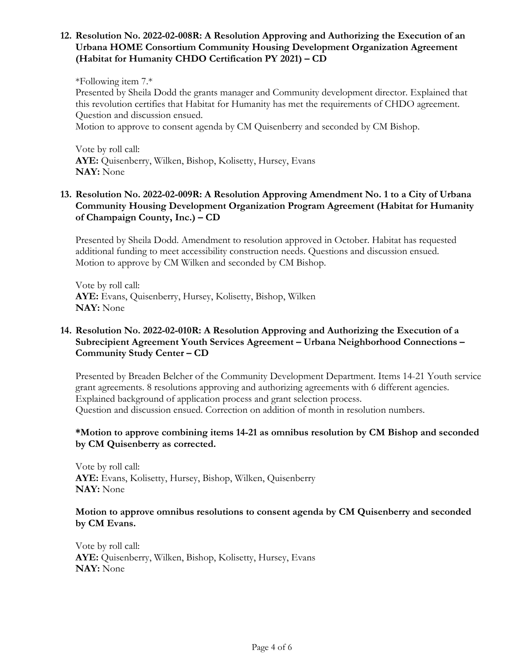#### **12. Resolution No. 2022-02-008R: A Resolution Approving and Authorizing the Execution of an Urbana HOME Consortium Community Housing Development Organization Agreement (Habitat for Humanity CHDO Certification PY 2021) – CD**

\*Following item 7.\* Presented by Sheila Dodd the grants manager and Community development director. Explained that this revolution certifies that Habitat for Humanity has met the requirements of CHDO agreement. Question and discussion ensued.

Motion to approve to consent agenda by CM Quisenberry and seconded by CM Bishop.

Vote by roll call: **AYE:** Quisenberry, Wilken, Bishop, Kolisetty, Hursey, Evans **NAY:** None

## **13. Resolution No. 2022-02-009R: A Resolution Approving Amendment No. 1 to a City of Urbana Community Housing Development Organization Program Agreement (Habitat for Humanity of Champaign County, Inc.) – CD**

Presented by Sheila Dodd. Amendment to resolution approved in October. Habitat has requested additional funding to meet accessibility construction needs. Questions and discussion ensued. Motion to approve by CM Wilken and seconded by CM Bishop.

Vote by roll call: **AYE:** Evans, Quisenberry, Hursey, Kolisetty, Bishop, Wilken **NAY:** None

## **14. Resolution No. 2022-02-010R: A Resolution Approving and Authorizing the Execution of a Subrecipient Agreement Youth Services Agreement – Urbana Neighborhood Connections – Community Study Center – CD**

Presented by Breaden Belcher of the Community Development Department. Items 14-21 Youth service grant agreements. 8 resolutions approving and authorizing agreements with 6 different agencies. Explained background of application process and grant selection process. Question and discussion ensued. Correction on addition of month in resolution numbers.

#### **\*Motion to approve combining items 14-21 as omnibus resolution by CM Bishop and seconded by CM Quisenberry as corrected.**

Vote by roll call: **AYE:** Evans, Kolisetty, Hursey, Bishop, Wilken, Quisenberry **NAY:** None

#### **Motion to approve omnibus resolutions to consent agenda by CM Quisenberry and seconded by CM Evans.**

Vote by roll call: **AYE:** Quisenberry, Wilken, Bishop, Kolisetty, Hursey, Evans **NAY:** None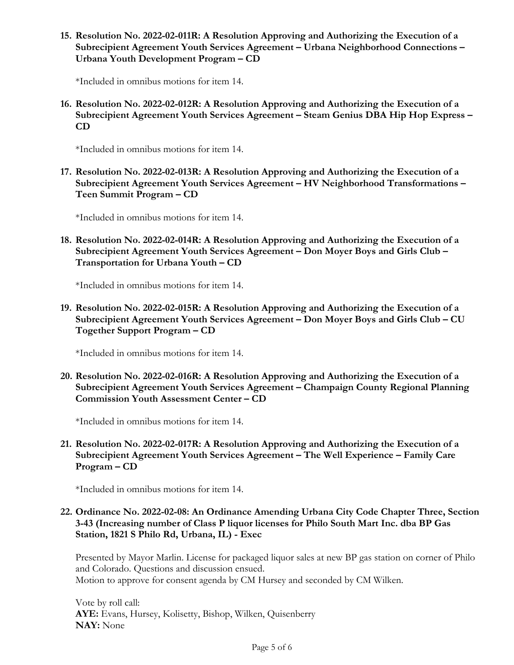**15. Resolution No. 2022-02-011R: A Resolution Approving and Authorizing the Execution of a Subrecipient Agreement Youth Services Agreement – Urbana Neighborhood Connections – Urbana Youth Development Program – CD**

\*Included in omnibus motions for item 14.

**16. Resolution No. 2022-02-012R: A Resolution Approving and Authorizing the Execution of a Subrecipient Agreement Youth Services Agreement – Steam Genius DBA Hip Hop Express – CD**

\*Included in omnibus motions for item 14.

**17. Resolution No. 2022-02-013R: A Resolution Approving and Authorizing the Execution of a Subrecipient Agreement Youth Services Agreement – HV Neighborhood Transformations – Teen Summit Program – CD**

\*Included in omnibus motions for item 14.

**18. Resolution No. 2022-02-014R: A Resolution Approving and Authorizing the Execution of a Subrecipient Agreement Youth Services Agreement – Don Moyer Boys and Girls Club – Transportation for Urbana Youth – CD**

\*Included in omnibus motions for item 14.

**19. Resolution No. 2022-02-015R: A Resolution Approving and Authorizing the Execution of a Subrecipient Agreement Youth Services Agreement – Don Moyer Boys and Girls Club – CU Together Support Program – CD**

\*Included in omnibus motions for item 14.

**20. Resolution No. 2022-02-016R: A Resolution Approving and Authorizing the Execution of a Subrecipient Agreement Youth Services Agreement – Champaign County Regional Planning Commission Youth Assessment Center – CD**

\*Included in omnibus motions for item 14.

**21. Resolution No. 2022-02-017R: A Resolution Approving and Authorizing the Execution of a Subrecipient Agreement Youth Services Agreement – The Well Experience – Family Care Program – CD**

\*Included in omnibus motions for item 14.

**22. Ordinance No. 2022-02-08: An Ordinance Amending Urbana City Code Chapter Three, Section 3-43 (Increasing number of Class P liquor licenses for Philo South Mart Inc. dba BP Gas Station, 1821 S Philo Rd, Urbana, IL) - Exec**

Presented by Mayor Marlin. License for packaged liquor sales at new BP gas station on corner of Philo and Colorado. Questions and discussion ensued. Motion to approve for consent agenda by CM Hursey and seconded by CM Wilken.

Vote by roll call: **AYE:** Evans, Hursey, Kolisetty, Bishop, Wilken, Quisenberry **NAY:** None